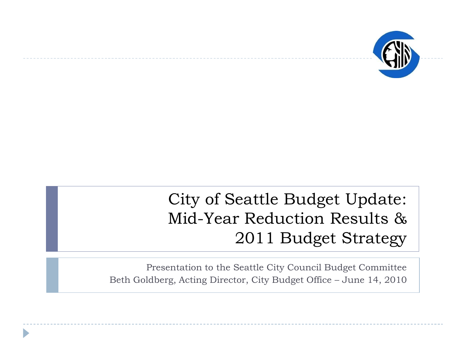

#### City of Seattle Budget Update: Mid-Year Reduction Results & 2011 Budget Strategy

Presentation to the Seattle City Council Budget Committee Beth Goldberg, Acting Director, City Budget Office – June 14, 2010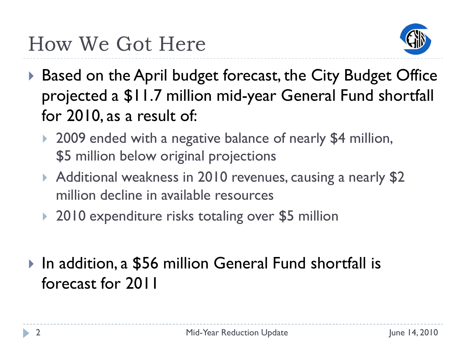

- ▶ Based on the April budget forecast, the City Budget Office projected a \$11.7 million mid-year General Fund shortfall for 2010, as a result of:
	- ▶ 2009 ended with a negative balance of nearly \$4 million, \$5 million below original projections
	- Additional weakness in 2010 revenues, causing a nearly \$2 million decline in available resources
	- ▶ 2010 expenditure risks totaling over \$5 million
- ▶ In addition, a \$56 million General Fund shortfall is forecast for 2011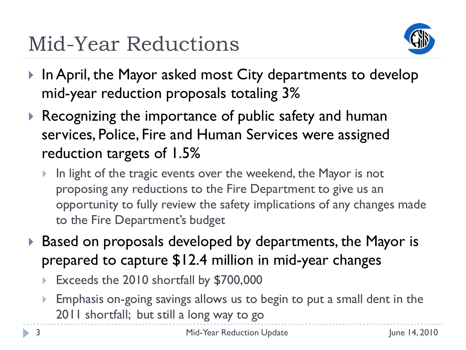

- ▶ In April, the Mayor asked most City departments to develop mid-year reduction proposals totaling 3%
- ▶ Recognizing the importance of public safety and human services, Police, Fire and Human Services were assigned reduction targets of 1.5%
	- In light of the tragic events over the weekend, the Mayor is not proposing any reductions to the Fire Department to give us an opportunity to fully review the safety implications of any changes made to the Fire Department's budget
- ▶ Based on proposals developed by departments, the Mayor is prepared to capture \$12.4 million in mid-year changes
	- Exceeds the 2010 shortfall by \$700,000
	- Emphasis on-going savings allows us to begin to put a small dent in the 2011 shortfall; but still a long way to go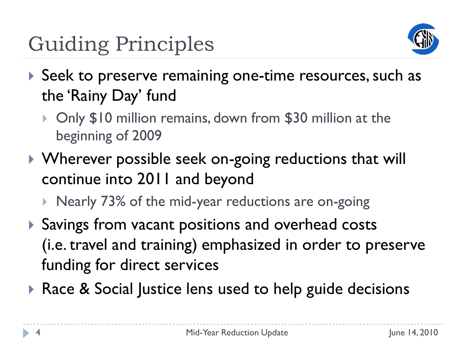

- Seek to preserve remaining one-time resources, such as the 'Rainy Day' fund
	- ▶ Only \$10 million remains, down from \$30 million at the beginning of 2009
- ▶ Wherever possible seek on-going reductions that will continue into 2011 and beyond
	- ▶ Nearly 73% of the mid-year reductions are on-going
- Savings from vacant positions and overhead costs (i.e. travel and training) emphasized in order to preserve funding for direct services
- ▶ Race & Social Justice lens used to help guide decisions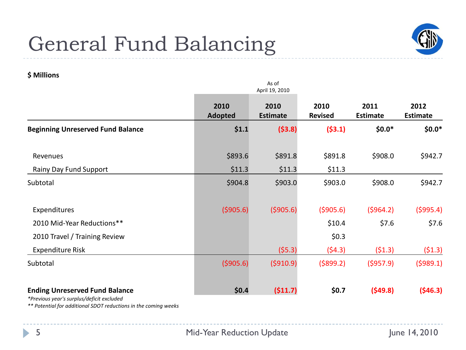#### General Fund Balancing



#### **\$ Millions**

|                                                                                                                                                       |                        | As of<br>April 19, 2010 |                        |                         |                         |
|-------------------------------------------------------------------------------------------------------------------------------------------------------|------------------------|-------------------------|------------------------|-------------------------|-------------------------|
|                                                                                                                                                       | 2010<br><b>Adopted</b> | 2010<br><b>Estimate</b> | 2010<br><b>Revised</b> | 2011<br><b>Estimate</b> | 2012<br><b>Estimate</b> |
| <b>Beginning Unreserved Fund Balance</b>                                                                                                              | \$1.1                  | (53.8)                  | (53.1)                 | $$0.0*$                 | $$0.0*$                 |
| Revenues                                                                                                                                              | \$893.6                | \$891.8                 | \$891.8                | \$908.0                 | \$942.7                 |
| Rainy Day Fund Support                                                                                                                                | \$11.3                 | \$11.3                  | \$11.3                 |                         |                         |
| Subtotal                                                                                                                                              | \$904.8                | \$903.0                 | \$903.0                | \$908.0                 | \$942.7                 |
| Expenditures                                                                                                                                          | (5905.6)               | (5905.6)                | ( \$905.6)             | (5964.2)                | ( \$995.4)              |
| 2010 Mid-Year Reductions**                                                                                                                            |                        |                         | \$10.4                 | \$7.6                   | \$7.6                   |
| 2010 Travel / Training Review                                                                                                                         |                        |                         | \$0.3\$                |                         |                         |
| Expenditure Risk                                                                                                                                      |                        | (55.3)                  | (54.3)                 | (51.3)                  | (51.3)                  |
| Subtotal                                                                                                                                              | (5905.6)               | (5910.9)                | ( \$899.2)             | (5957.9)                | (5989.1)                |
| <b>Ending Unreserved Fund Balance</b><br>*Previous year's surplus/deficit excluded<br>** Potential for additional SDOT reductions in the coming weeks | \$0.4\$                | (511.7)                 | \$0.7                  | (549.8)                 | (546.3)                 |

b.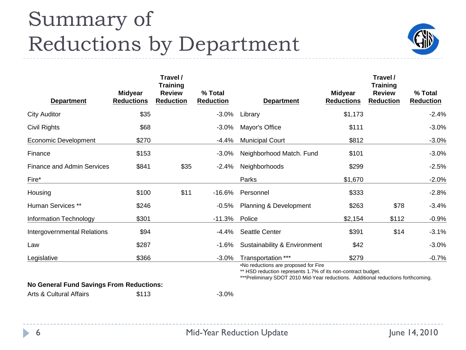#### Summary of Reductions by Department



| <b>Department</b>                 | <b>Midyear</b><br><b>Reductions</b> | Travel /<br><b>Training</b><br><b>Review</b><br><b>Reduction</b> | % Total<br><b>Reduction</b> | <b>Department</b>            | <b>Midyear</b><br><b>Reductions</b> | Travel /<br><b>Training</b><br><b>Review</b><br><b>Reduction</b> | % Total<br><b>Reduction</b> |
|-----------------------------------|-------------------------------------|------------------------------------------------------------------|-----------------------------|------------------------------|-------------------------------------|------------------------------------------------------------------|-----------------------------|
| <b>City Auditor</b>               | \$35                                |                                                                  | $-3.0\%$                    | Library                      | \$1,173                             |                                                                  | $-2.4%$                     |
| Civil Rights                      | \$68                                |                                                                  | $-3.0\%$                    | Mayor's Office               | \$111                               |                                                                  | $-3.0%$                     |
| Economic Development              | \$270                               |                                                                  | $-4.4%$                     | <b>Municipal Court</b>       | \$812                               |                                                                  | $-3.0%$                     |
| Finance                           | \$153                               |                                                                  | $-3.0\%$                    | Neighborhood Match. Fund     | \$101                               |                                                                  | $-3.0%$                     |
| <b>Finance and Admin Services</b> | \$841                               | \$35                                                             | $-2.4%$                     | Neighborhoods                | \$299                               |                                                                  | $-2.5%$                     |
| Fire*                             |                                     |                                                                  |                             | Parks                        | \$1,670                             |                                                                  | $-2.0%$                     |
| Housing                           | \$100                               | \$11                                                             | $-16.6%$                    | Personnel                    | \$333                               |                                                                  | $-2.8%$                     |
| Human Services **                 | \$246                               |                                                                  | -0.5%                       | Planning & Development       | \$263                               | \$78                                                             | $-3.4%$                     |
| <b>Information Technology</b>     | \$301                               |                                                                  | -11.3% Police               |                              | \$2,154                             | \$112                                                            | $-0.9%$                     |
| Intergovernmental Relations       | \$94                                |                                                                  | -4.4%                       | <b>Seattle Center</b>        | \$391                               | \$14                                                             | $-3.1%$                     |
| Law                               | \$287                               |                                                                  | $-1.6%$                     | Sustainability & Environment | \$42                                |                                                                  | $-3.0%$                     |
| Legislative                       | \$366                               |                                                                  | $-3.0%$                     | Transportation ***           | \$279                               |                                                                  | $-0.7%$                     |

•No reductions are proposed for Fire

\*\* HSD reduction represents 1.7% of its non-contract budget.

\*\*\*Preliminary SDOT 2010 Mid-Year reductions. Additional reductions forthcoming.

**No General Fund Savings From Reductions:**

Arts & Cultural Affairs  $$113$  -3.0%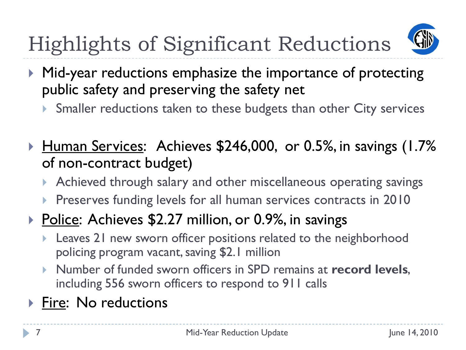

- ▶ Mid-year reductions emphasize the importance of protecting public safety and preserving the safety net
	- Smaller reductions taken to these budgets than other City services
- ▶ <u>Human Services</u>: Achieves \$246,000, or 0.5%, in savings (1.7%) of non-contract budget)
	- Achieved through salary and other miscellaneous operating savings
	- **Preserves funding levels for all human services contracts in 2010**
- ▶ Police: Achieves \$2.27 million, or 0.9%, in savings
	- Leaves 21 new sworn officer positions related to the neighborhood policing program vacant, saving \$2.1 million
	- Number of funded sworn officers in SPD remains at **record levels**, including 556 sworn officers to respond to 911 calls
- ▶ Fire: No reductions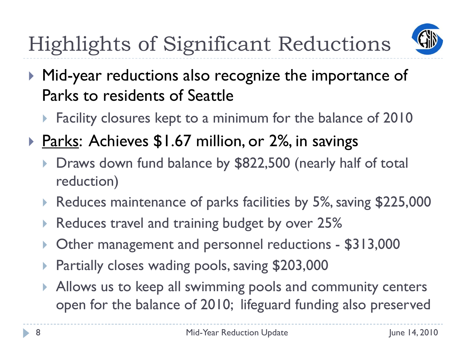

- ▶ Mid-year reductions also recognize the importance of Parks to residents of Seattle
	- **Facility closures kept to a minimum for the balance of 2010**
- ▶ Parks: Achieves \$1.67 million, or 2%, in savings
	- Draws down fund balance by \$822,500 (nearly half of total reduction)
	- Reduces maintenance of parks facilities by 5%, saving \$225,000
	- Reduces travel and training budget by over 25%
	- Other management and personnel reductions \$313,000
	- Partially closes wading pools, saving \$203,000
	- Allows us to keep all swimming pools and community centers open for the balance of 2010; lifeguard funding also preserved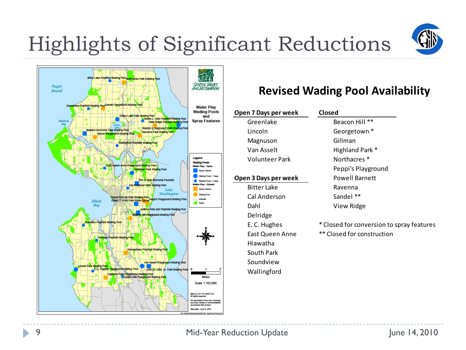

#### **Revised Wading Pool Availability**

| Open 7 Days per week | Closed                                    |
|----------------------|-------------------------------------------|
| Greenlake            | Beacon Hill **                            |
| Lincoln              | Georgetown *                              |
| Magnuson             | Gillman                                   |
| Van Asselt           | Highland Park *                           |
| Volunteer Park       | Northacres <sup>*</sup>                   |
|                      | Peppi's Playground                        |
| Open 3 Days per week | <b>Powell Barnett</b>                     |
| <b>Bitter Lake</b>   | Ravenna                                   |
| Cal Anderson         | Sandel **                                 |
| Dahl                 | View Ridge                                |
| Delridge             |                                           |
| E. C. Hughes         | * Closed for conversion to spray features |
| East Queen Anne      | ** Closed for construction                |
| Hiawatha             |                                           |
| South Park           |                                           |
| Soundview            |                                           |
|                      |                                           |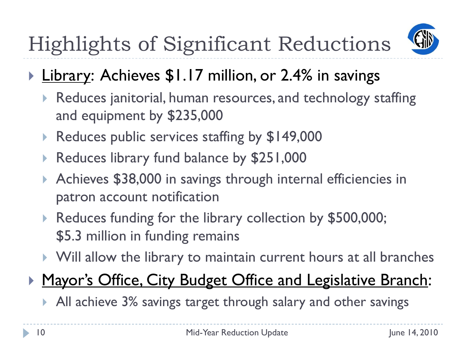

- ▶ Library: Achieves \$1.17 million, or 2.4% in savings
	- Reduces janitorial, human resources, and technology staffing and equipment by \$235,000
	- ▶ Reduces public services staffing by \$149,000
	- Reduces library fund balance by \$251,000
	- ▶ Achieves \$38,000 in savings through internal efficiencies in patron account notification
	- Reduces funding for the library collection by \$500,000; \$5.3 million in funding remains
	- Will allow the library to maintain current hours at all branches

#### **Mayor's Office, City Budget Office and Legislative Branch:**

All achieve 3% savings target through salary and other savings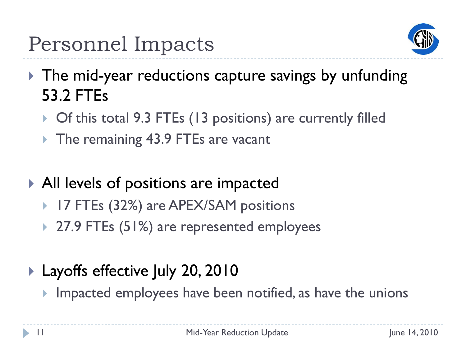

- ▶ The mid-year reductions capture savings by unfunding 53.2 FTEs
	- ▶ Of this total 9.3 FTEs (13 positions) are currently filled
	- ▶ The remaining 43.9 FTEs are vacant
- All levels of positions are impacted
	- 17 FTEs (32%) are APEX/SAM positions
	- ▶ 27.9 FTEs (51%) are represented employees
- ▶ Layoffs effective July 20, 2010
	- Impacted employees have been notified, as have the unions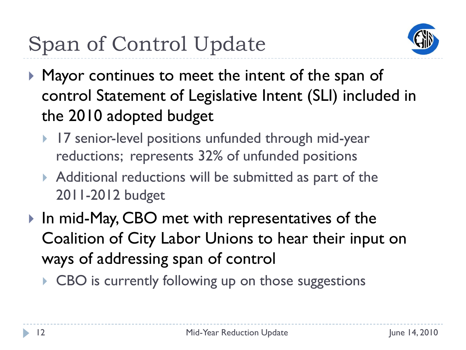

- **Mayor continues to meet the intent of the span of** control Statement of Legislative Intent (SLI) included in the 2010 adopted budget
	- ▶ 17 senior-level positions unfunded through mid-year reductions; represents 32% of unfunded positions
	- Additional reductions will be submitted as part of the 2011-2012 budget
- ▶ In mid-May, CBO met with representatives of the Coalition of City Labor Unions to hear their input on ways of addressing span of control
	- ▶ CBO is currently following up on those suggestions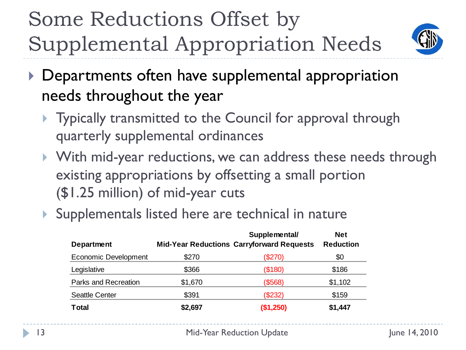## Some Reductions Offset by Supplemental Appropriation Needs



- ▶ Departments often have supplemental appropriation needs throughout the year
	- **Typically transmitted to the Council for approval through** quarterly supplemental ordinances
	- With mid-year reductions, we can address these needs through existing appropriations by offsetting a small portion (\$1.25 million) of mid-year cuts
	- Supplementals listed here are technical in nature

| <b>Department</b>           |         | Supplemental/<br><b>Mid-Year Reductions Carryforward Requests</b> | <b>Net</b><br><b>Reduction</b> |
|-----------------------------|---------|-------------------------------------------------------------------|--------------------------------|
| <b>Economic Development</b> | \$270   | (\$270)                                                           | \$0                            |
| Legislative                 | \$366   | (\$180)                                                           | \$186                          |
| Parks and Recreation        | \$1,670 | (\$568)                                                           | \$1,102                        |
| <b>Seattle Center</b>       | \$391   | (\$232)                                                           | \$159                          |
| <b>Total</b>                | \$2,697 | (\$1,250)                                                         | \$1,447                        |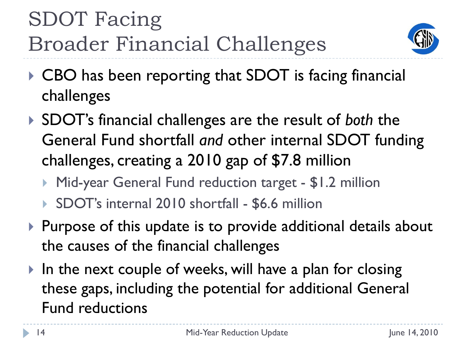## SDOT Facing Broader Financial Challenges



- ▶ CBO has been reporting that SDOT is facing financial challenges
- SDOT's financial challenges are the result of *both* the General Fund shortfall *and* other internal SDOT funding challenges, creating a 2010 gap of \$7.8 million
	- Mid-year General Fund reduction target \$1.2 million
	- ▶ SDOT's internal 2010 shortfall \$6.6 million
- $\triangleright$  Purpose of this update is to provide additional details about the causes of the financial challenges
- In the next couple of weeks, will have a plan for closing these gaps, including the potential for additional General Fund reductions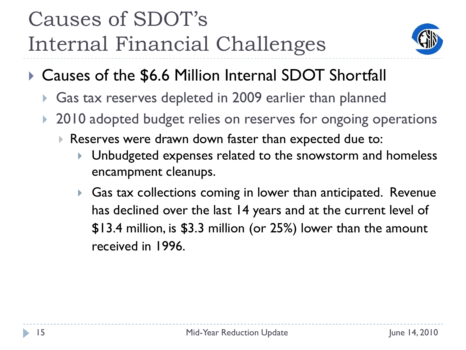### Causes of SDOT's Internal Financial Challenges



- ▶ Causes of the \$6.6 Million Internal SDOT Shortfall
	- Gas tax reserves depleted in 2009 earlier than planned
	- 2010 adopted budget relies on reserves for ongoing operations
		- Reserves were drawn down faster than expected due to:
			- Unbudgeted expenses related to the snowstorm and homeless encampment cleanups.
			- ▶ Gas tax collections coming in lower than anticipated. Revenue has declined over the last 14 years and at the current level of \$13.4 million, is \$3.3 million (or 25%) lower than the amount received in 1996.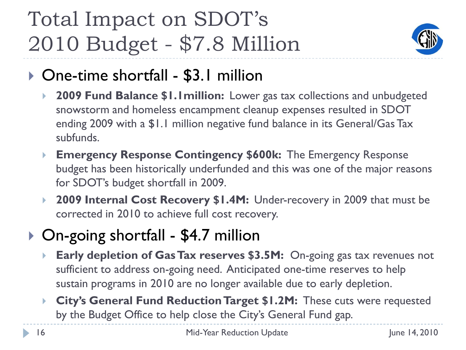### Total Impact on SDOT's 2010 Budget - \$7.8 Million



#### ▶ One-time shortfall - \$3.1 million

- **2009 Fund Balance \$1.1million:** Lower gas tax collections and unbudgeted snowstorm and homeless encampment cleanup expenses resulted in SDOT ending 2009 with a \$1.1 million negative fund balance in its General/Gas Tax subfunds.
- **Emergency Response Contingency \$600k:** The Emergency Response budget has been historically underfunded and this was one of the major reasons for SDOT's budget shortfall in 2009.
- **2009 Internal Cost Recovery \$1.4M:** Under-recovery in 2009 that must be corrected in 2010 to achieve full cost recovery.

#### ▶ On-going shortfall - \$4.7 million

- **Early depletion of Gas Tax reserves \$3.5M:** On-going gas tax revenues not sufficient to address on-going need. Anticipated one-time reserves to help sustain programs in 2010 are no longer available due to early depletion.
- **City's General Fund Reduction Target \$1.2M:** These cuts were requested by the Budget Office to help close the City's General Fund gap.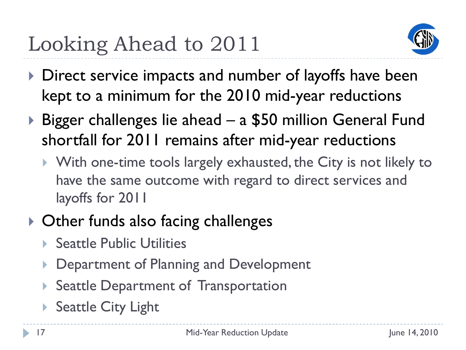### Looking Ahead to 2011



- Direct service impacts and number of layoffs have been kept to a minimum for the 2010 mid-year reductions
- ▶ Bigger challenges lie ahead a \$50 million General Fund shortfall for 2011 remains after mid-year reductions
	- With one-time tools largely exhausted, the City is not likely to have the same outcome with regard to direct services and layoffs for 2011
- ▶ Other funds also facing challenges
	- ▶ Seattle Public Utilities
	- Department of Planning and Development
	- Seattle Department of Transportation
	- ▶ Seattle City Light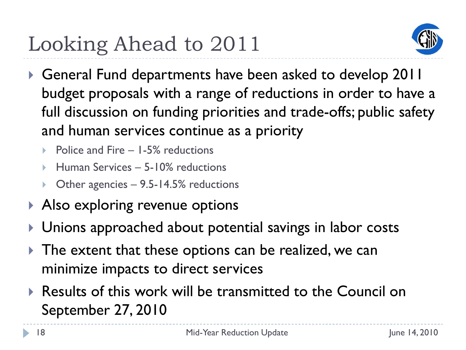## Looking Ahead to 2011



- General Fund departments have been asked to develop 2011 budget proposals with a range of reductions in order to have a full discussion on funding priorities and trade-offs; public safety and human services continue as a priority
	- Police and Fire 1-5% reductions
	- Human Services 5-10% reductions
	- Other agencies 9.5-14.5% reductions
- ▶ Also exploring revenue options
- Unions approached about potential savings in labor costs
- **The extent that these options can be realized, we can** minimize impacts to direct services
- ▶ Results of this work will be transmitted to the Council on September 27, 2010